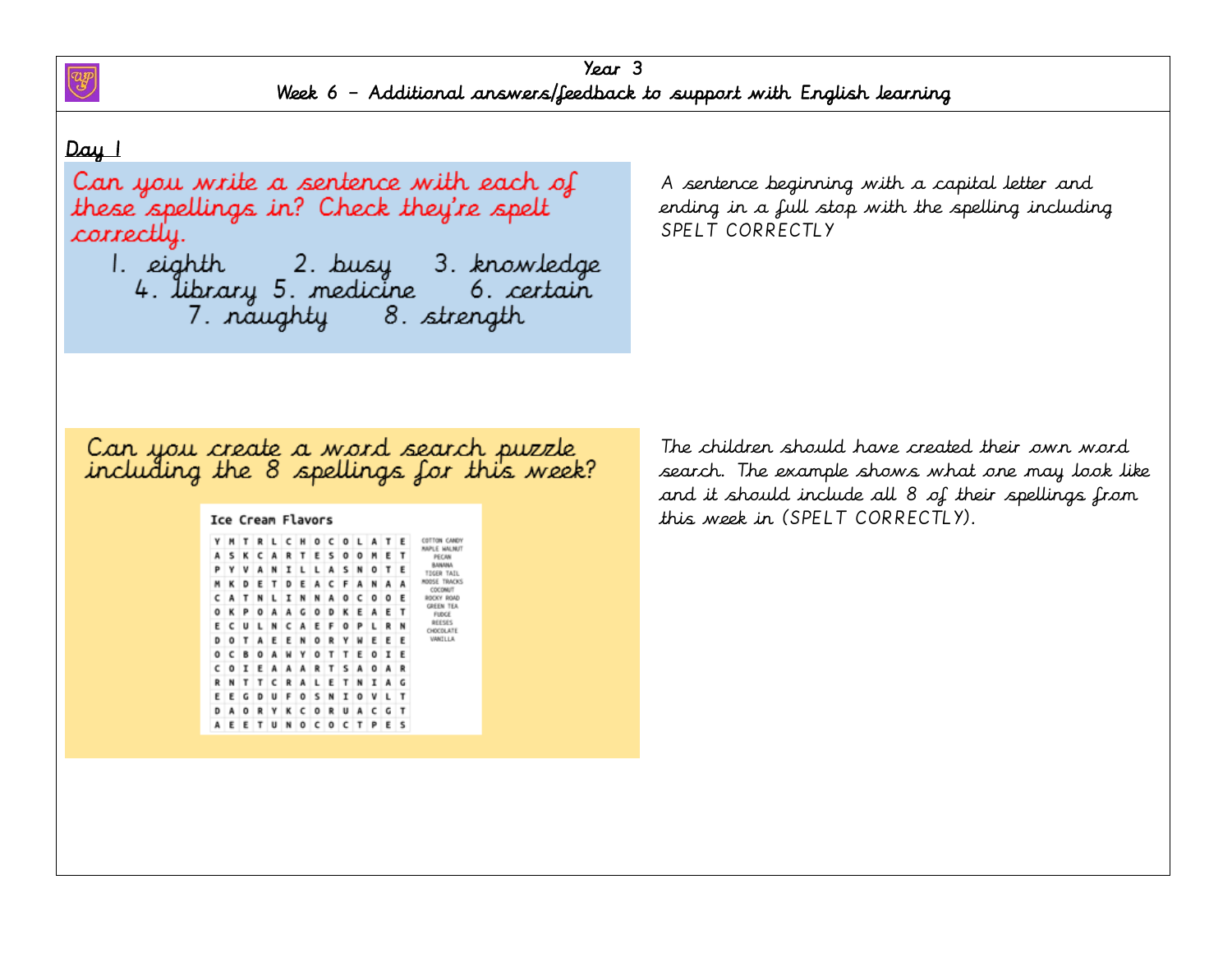

#### Day 1

Can you write a sentence with each of these spellings in? Check they're spelt correctly.

7. naughty 8. strength

A sentence beginning with a capital letter and ending in a full stop with the spelling including SPELT CORRECTLY

# Can you create a word search puzzle<br>including the 8 spellings for this week?

# Ice Cream Flavors Y M T R L C H O C O L A T E COTTON CANDY

| PECAN                           | ٠ | E. | n | υ | υ | ъ |   | ٠ | ĸ | А |   | ĸ | ∍ | A |
|---------------------------------|---|----|---|---|---|---|---|---|---|---|---|---|---|---|
| <b>BAINADEA</b><br>TDGER TAI    | E | т  | Ō | N | s | A | L | L | I | N | A | ٧ | Y | P |
| ROOSE TRAC<br>COCONUT           | A | А  | N | A | F | с | A | Ε | D | т | Ε | D | κ | M |
| ROCKY ROA                       | E | ٥  | ٥ | c | ٥ | A | N | N | I | ι | N | T | А | c |
| <b>GREEN TE</b><br><b>FUDGE</b> | т | ε  | A | Ε | к | D | ۰ | G | A | A | ٥ | Р | κ | ٥ |
| REESES<br>CHOCOLAT              | N | R  | ι | P | ٥ | F | Ε | A | c | N | ι | u | с | Ε |
| VANILLA                         | Ε | ε  | ε | w | γ | R | ٥ | N | Ε | Ε | A | T | ۰ | D |
|                                 | Ε | 1  | 0 | Ε | τ | T | ۰ | Υ | w | А | o | B | c | 0 |
|                                 | R | А  | ٥ | A | s | т | R | A | A | A | Ε | I | ٥ | c |
|                                 | G | А  | 1 | N | т | Ε | L | A | R | c | ı | T | N | R |
|                                 | T | L  | ٧ | 0 | 1 | N | s | 0 | F | u | D | G | ε | Ε |
|                                 | τ | G  | c | A | u | R | ٥ | c | κ | γ | R | ٥ | А | D |
|                                 | s |    | P |   |   | ٥ | c | 0 | N |   |   |   |   | А |

The children should have created their own word search. The example shows what one may look like and it should include all 8 of their spellings from this week in (SPELT CORRECTLY).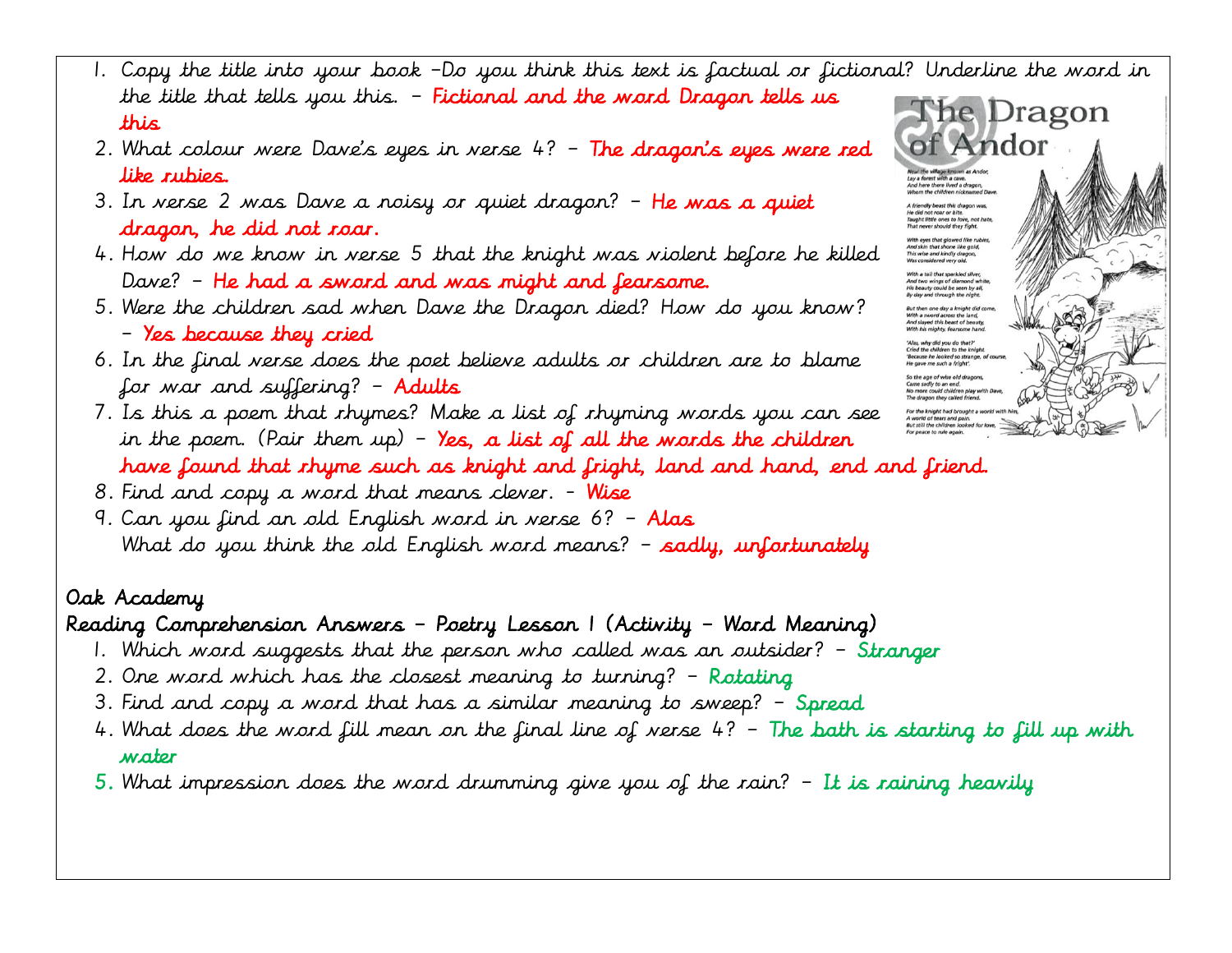- 1. Copy the title into your book –Do you think this text is factual or fictional? Underline the word in the title that tells you this. – Fictional and the word Dragon tells us The Dragon this
- 2. What colour were Dave's eyes in verse  $4?$  The dragon's eyes were red like rubies.
- 3. In verse 2 was Dave a noisy or quiet dragon? He was a quiet dragon, he did not roar.
- 4. How do we know in verse 5 that the knight was violent before he killed Dave? – He had a sword and was might and fearsome.
- 5. Were the children sad when Dave the Dragon died? How do you know? – Yes because they cried
- 6. In the final verse does the poet believe adults or children are to blame for war and suffering? – Adults
- 7. Is this a poem that rhymes? Make a list of rhyming words you can see For the knight had brought a in the poem. (Pair them up) - Yes, a list of all the words the children have found that rhyme such as knight and fright, land and hand, end and friend.
- 8. Find and copy a word that means clever. Wise
- 9. Can you find an old English word in verse 6? Alas What do you think the old English word means?  $-$  sadly, unfortunately

# Reading Comprehension Answers – Poetry Lesson 1 (Activity – Word Meaning)

- 1. Which word suggests that the person who called was an outsider? Stranger
- 2. One word which has the closest meaning to turning? Rotating
- 3. Find and copy a word that has a similar meaning to sweep? Spread
- 4. What does the word fill mean on the final line of verse  $4?$  The bath is starting to fill up with water
- $5.$  What impression does the word drumming give you of the rain?  $-$  It is raining heavily

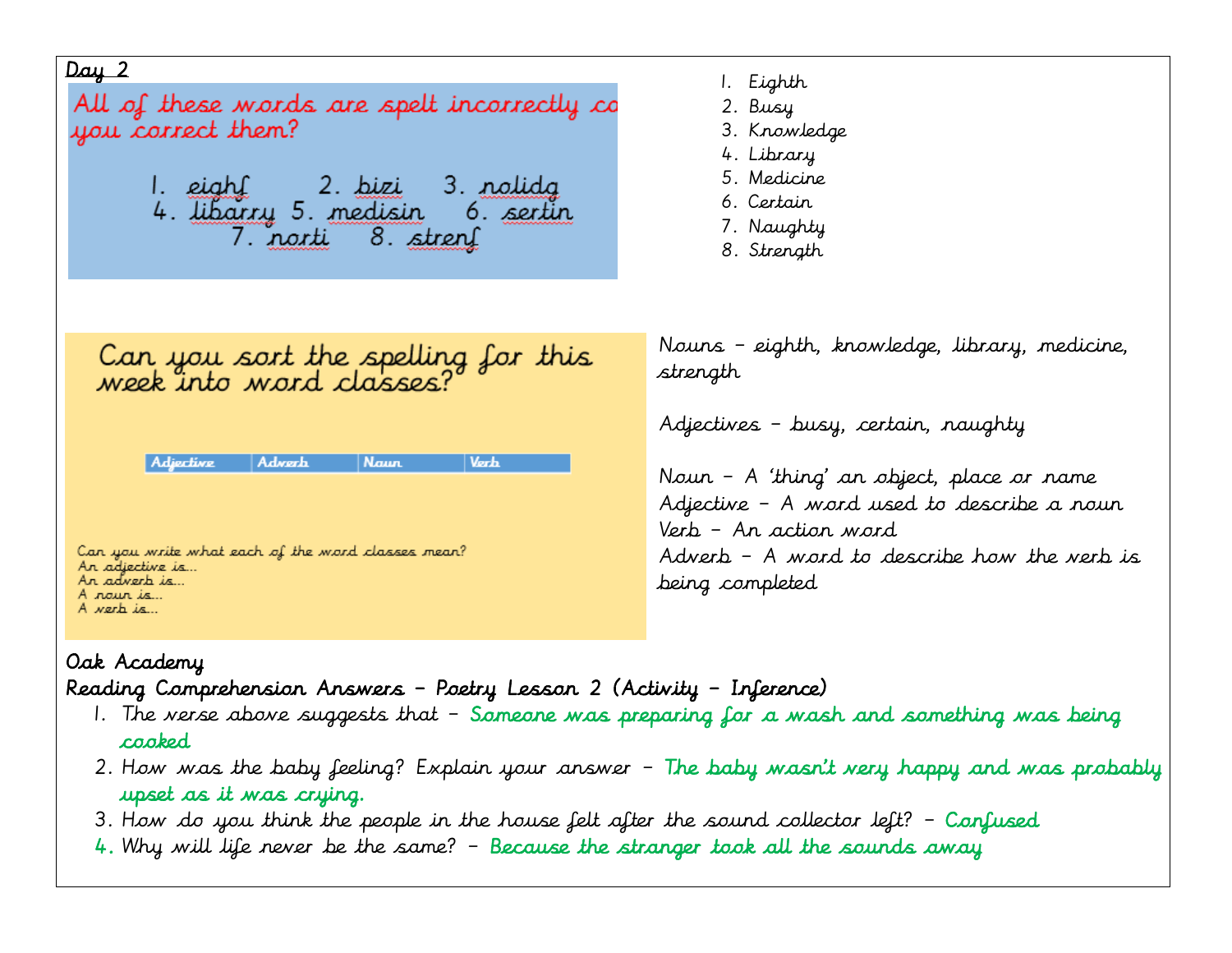| Day 2<br>All of these words are spelt incorrectly co<br>you correct them?                                                                              | 1. Eighth<br>2. Busy<br>3. Knowledge<br>4. Library<br>5. Medicine                                                                                                                                                         |
|--------------------------------------------------------------------------------------------------------------------------------------------------------|---------------------------------------------------------------------------------------------------------------------------------------------------------------------------------------------------------------------------|
| 7. norti 8. stren                                                                                                                                      | 6. Certain<br>7. Naughty<br>8. Strength                                                                                                                                                                                   |
| Can you sort the spelling for this<br>week into word classes?                                                                                          | Nouns – eighth, knowledge, library, medicine,<br>strength                                                                                                                                                                 |
| Verb<br>Adjective<br><b>Adverb</b><br><b>Naun</b><br>Can you write what each of the word classes mean?<br>Ar adjective is<br>Ar adverb is<br>A rain is | Adjectives - busy, certain, naughty<br>Nour - A 'thing' an object, place or name<br>Adjective - A word used to describe a noun<br>Verb – An action word<br>Adverb - A word to describe how the verb is<br>being completed |
| A verb is                                                                                                                                              |                                                                                                                                                                                                                           |

Reading Comprehension Answers – Poetry Lesson 2 (Activity – Inference)

- 1. The verse above suggests that Someone was preparing for a wash and something was being cooked
- 2. How was the baby feeling? Explain your answer The baby wasn't very happy and was probably upset as it was crying.
- 3. How do you think the people in the house felt after the sound collector left? Confused
- 4. Why will life never be the same? Because the stranger took all the sounds away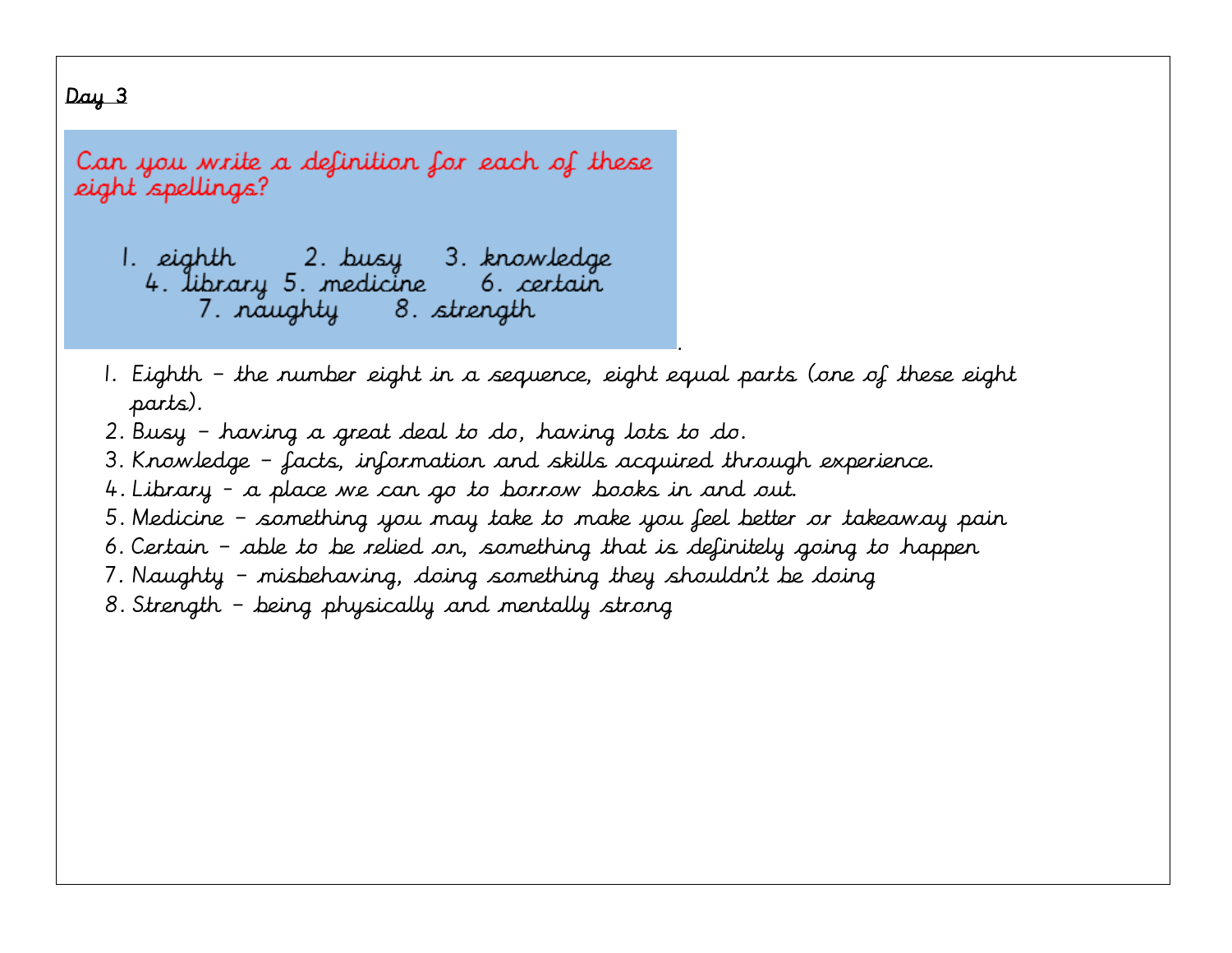# $Day 3$

Can you write a definition for each of these eight <sup>"</sup>spellings?

1. eighth 2. busy 3. knowledge 4. library 5. medicine 6. certain 7. naughty 8. strength

1. Eighth – the number eight in a sequence, eight equal parts (one of these eight parts).

.

- 2. Busy having a great deal to do, having lots to do.
- 3. Knowledge facts, information and skills acquired through experience.
- 4. Library a place we can go to borrow books in and out.
- 5. Medicine something you may take to make you feel better or takeaway pain
- 6. Certain able to be relied on, something that is definitely going to happen
- 7. Naughty misbehaving, doing something they shouldn't be doing
- 8. Strength being physically and mentally strong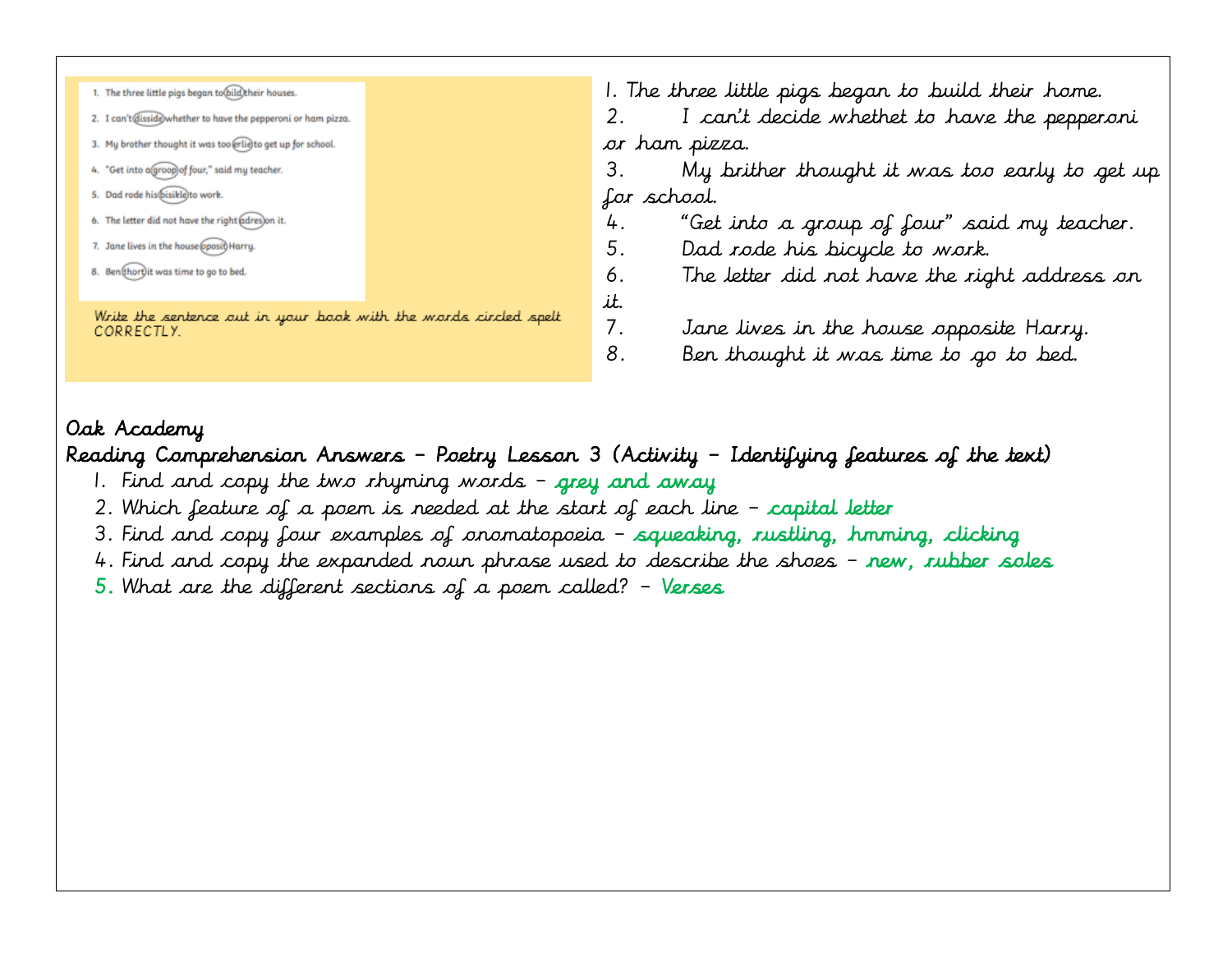| 1. The three little pigs began to bild their houses.                           | 1. The three little pigs began to build their home.     |  |  |  |
|--------------------------------------------------------------------------------|---------------------------------------------------------|--|--|--|
| 2. I can't@isside>whether to have the pepperoni or ham pizza.                  | I can't decide whethet to have the pepperoni            |  |  |  |
| 3. My brother thought it was too erlieto get up for school.                    | or han pizza.                                           |  |  |  |
| 4. "Get into agroop) of four," said my teacher.                                | З.<br>My brither thought it was too early to get up     |  |  |  |
| 5. Dad rode his@isikle\to work.                                                | for school.                                             |  |  |  |
| 6. The letter did not have the right adres)on it.                              | "Get into a group of four" said my teacher.<br>4.       |  |  |  |
| 7. Jane lives in the house pposit) Harry.                                      | 5.<br>Dad rode his bicycle to work.                     |  |  |  |
| 8. Ben(thort) it was time to go to bed.                                        | The letter did not have the right address on<br>6.      |  |  |  |
|                                                                                | it.                                                     |  |  |  |
| Write the sentence out in your book with the words circled spelt<br>CORRECTLY. | 7.<br>Jane lives in the house opposite Harry.           |  |  |  |
|                                                                                | 8 <sub>1</sub><br>Ben thought it was time to go to bed. |  |  |  |
|                                                                                |                                                         |  |  |  |

Reading Comprehension Answers – Poetry Lesson 3 (Activity – Identifying features of the text)

- 1. Find and copy the two rhyming words grey and away
- 2. Which feature of a poem is needed at the start of each line capital letter
- 3. Find and copy four examples of onomatopoeia squeaking, rustling, hmming, clicking
- 4. Find and copy the expanded noun phrase used to describe the shoes new, rubber soles
- $5.$  What are the different sections of a poem called? Verses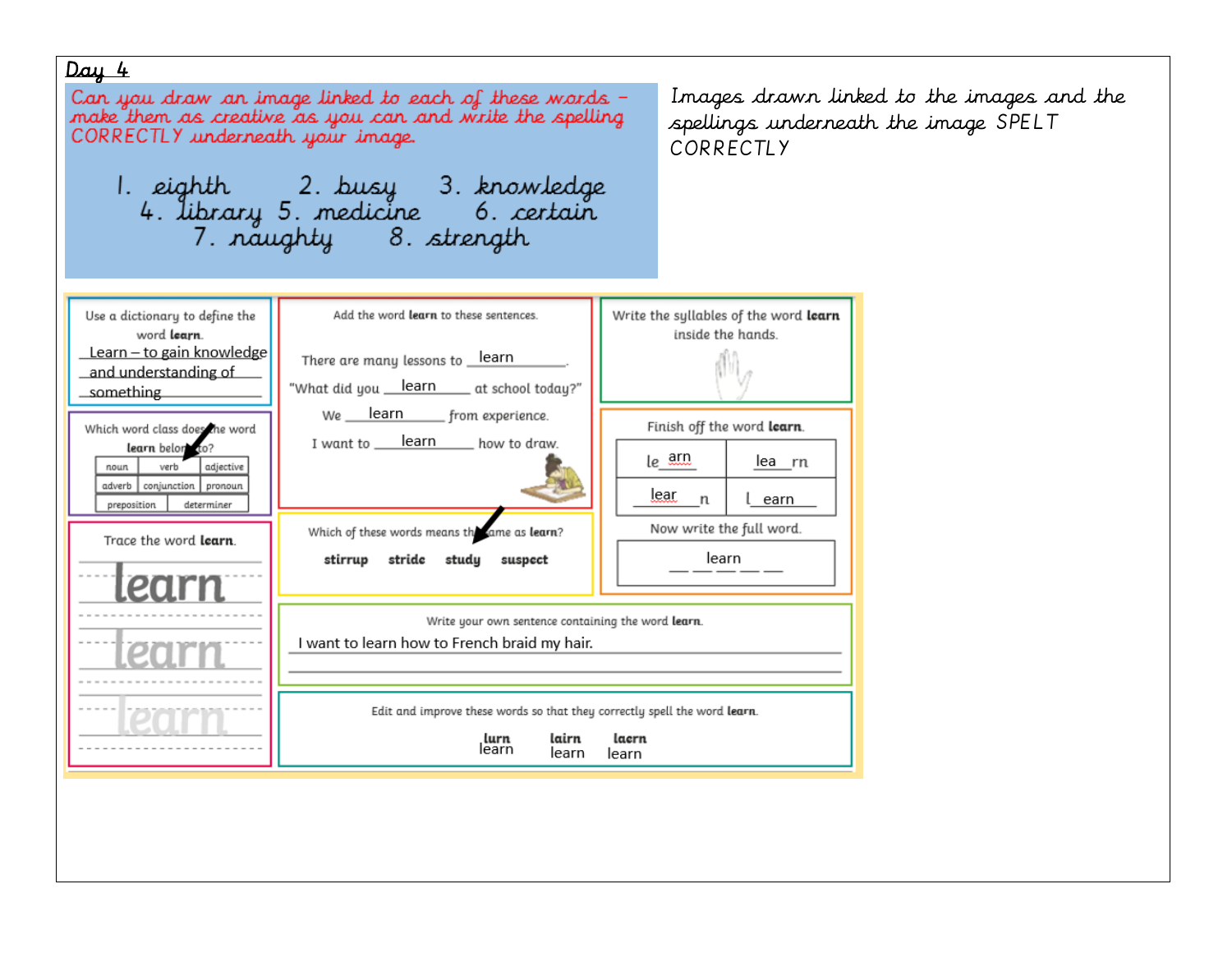#### $Day 4$